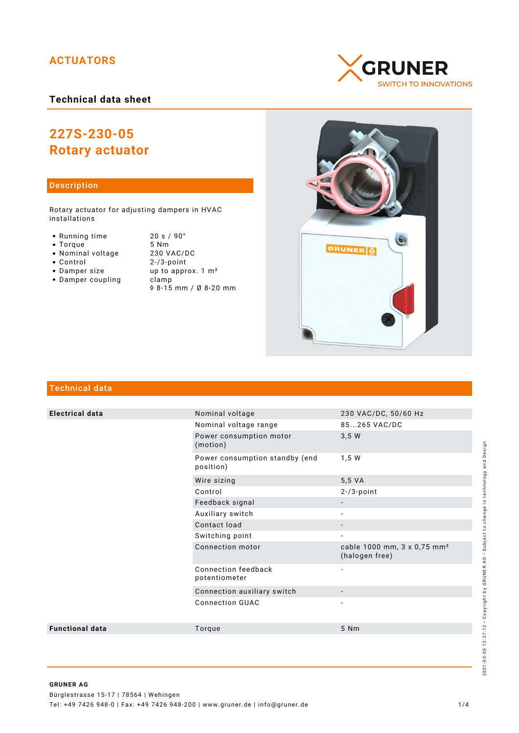## **ACTUATORS**

## **Technical data sheet**

# **227S-230-05 Rotary actuator**

## Description

Rotary actuator for adjusting dampers in HVAC installations

- Running time 20 s / 90°<br>• Torque 5 Nm
- 
- Nominal voltage<br>• Control
- 
- 
- $\bullet$  Damper coupling
- Torque 5 Nm<br>• Nominal voltage 230 VAC/DC  $2-73$ -point • Damper size up to approx. 1 m<sup>2</sup><br>• Damper coupling clamp ◊ 8-15 mm / Ø 8-20 mm





## Technical data

| <b>Electrical data</b> | Nominal voltage                             | 230 VAC/DC, 50/60 Hz                                      |
|------------------------|---------------------------------------------|-----------------------------------------------------------|
|                        | Nominal voltage range                       | 85265 VAC/DC                                              |
|                        | Power consumption motor<br>(motion)         | 3,5 W                                                     |
|                        | Power consumption standby (end<br>position) | 1,5 W                                                     |
|                        | Wire sizing                                 | 5,5 VA                                                    |
|                        | Control                                     | $2 - 73$ -point                                           |
|                        | Feedback signal                             | $\overline{\phantom{a}}$                                  |
|                        | Auxiliary switch                            |                                                           |
|                        | Contact load                                | $\overline{\phantom{a}}$                                  |
|                        | Switching point                             | $\overline{\phantom{a}}$                                  |
|                        | Connection motor                            | cable 1000 mm, 3 x 0,75 mm <sup>2</sup><br>(halogen free) |
|                        | Connection feedback<br>potentiometer        | $\overline{\phantom{a}}$                                  |
|                        | Connection auxiliary switch                 |                                                           |
|                        | <b>Connection GUAC</b>                      |                                                           |
| <b>Functional data</b> | Torque                                      | 5 Nm                                                      |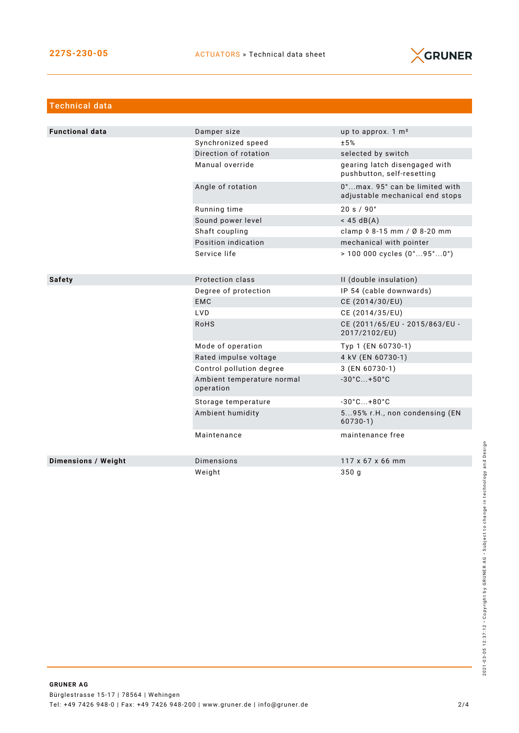

| <b>Technical data</b>  |                                         |                                                                   |
|------------------------|-----------------------------------------|-------------------------------------------------------------------|
|                        |                                         |                                                                   |
| <b>Functional data</b> | Damper size                             | up to approx. 1 m <sup>2</sup>                                    |
|                        | Synchronized speed                      | ±5%                                                               |
|                        | Direction of rotation                   | selected by switch                                                |
|                        | Manual override                         | gearing latch disengaged with<br>pushbutton, self-resetting       |
|                        | Angle of rotation                       | 0°max. 95° can be limited with<br>adjustable mechanical end stops |
|                        | Running time                            | 20 s / 90°                                                        |
|                        | Sound power level                       | $<$ 45 dB(A)                                                      |
|                        | Shaft coupling                          | clamp 0 8-15 mm / Ø 8-20 mm                                       |
|                        | Position indication                     | mechanical with pointer                                           |
|                        | Service life                            | $> 100000$ cycles $(0^{\circ}95^{\circ}0^{\circ})$                |
| <b>Safety</b>          | Protection class                        | II (double insulation)                                            |
|                        | Degree of protection                    | IP 54 (cable downwards)                                           |
|                        | <b>EMC</b>                              | CE (2014/30/EU)                                                   |
|                        | <b>LVD</b>                              | CE (2014/35/EU)                                                   |
|                        | <b>RoHS</b>                             | CE (2011/65/EU - 2015/863/EU -<br>2017/2102/EU)                   |
|                        | Mode of operation                       | Typ 1 (EN 60730-1)                                                |
|                        | Rated impulse voltage                   | 4 kV (EN 60730-1)                                                 |
|                        | Control pollution degree                | 3 (EN 60730-1)                                                    |
|                        | Ambient temperature normal<br>operation | $-30^{\circ}$ C +50 $^{\circ}$ C                                  |
|                        | Storage temperature                     | $-30^{\circ}$ C +80 $^{\circ}$ C                                  |
|                        | Ambient humidity                        | 595% r.H., non condensing (EN<br>$60730-1)$                       |
|                        | Maintenance                             | maintenance free                                                  |
| Dimensions / Weight    | <b>Dimensions</b>                       | 117 x 67 x 66 mm                                                  |
|                        | Weight                                  | 350 <sub>q</sub>                                                  |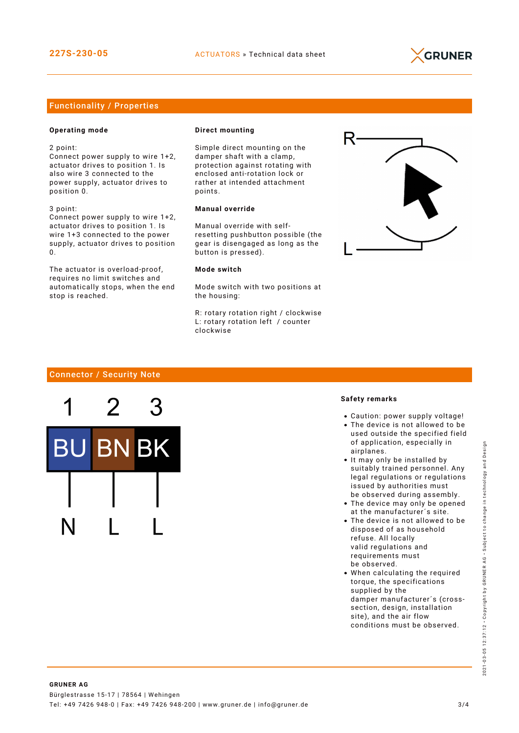

## Functionality / Properties

#### **Operating mode**

2 point:

Connect power supply to wire 1+2, actuator drives to position 1. Is also wire 3 connected to the power supply, actuator drives to position 0.

3 point: Connect power supply to wire 1+2, actuator drives to position 1. Is wire 1+3 connected to the power

supply, actuator drives to position  $\Omega$ The actuator is overload-proof,

requires no limit switches and automatically stops, when the end stop is reached.

#### **Direct mounting**

Simple direct mounting on the damper shaft with a clamp, protection against rotating with enclosed anti-rotation lock or rather at intended attachment points.

## **Manual override**

Manual override with selfresetting pushbutton possible (the gear is disengaged as long as the button is pressed).

#### **Mode switch**

Mode switch with two positions at the housing:

R: rotary rotation right / clockwise L: rotary rotation left / counter clockwise



## Connector / Security Note

Bł

#### **Safety remarks**

- Caution: power supply voltage!
- The device is not allowed to be used outside the specified field of application, especially in airplanes.
- It may only be installed by suitably trained personnel. Any legal regulations or regulations issued by authorities must be observed during assembly.
- The device may only be opened at the manufacturer´s site.
- The device is not allowed to be disposed of as household refuse. All locally valid regulations and requirements must be observed.
- When calculating the required torque, the specifications supplied by the damper manufacturer´s (crosssection, design, installation site), and the air flow conditions must be observed.